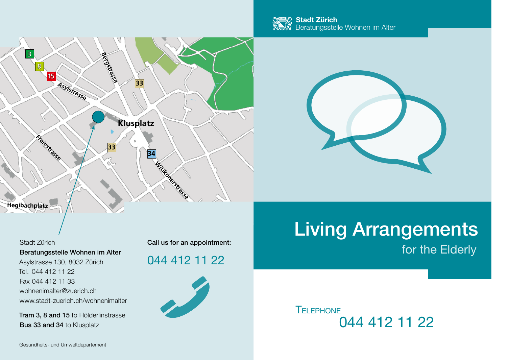





Beratungsstelle Wohnen im Alter Asylstrasse 130, 8032 Zürich Tel. 044 412 11 22 Fax 044 412 11 33 wohnenimalter@zuerich.ch www.stadt-zuerich.ch/wohnenimalter

Tram 3, 8 and 15 to Hölderlinstrasse Bus 33 and 34 to Klusplatz

Gesundheits- und Umweltdepartement

Stadt Zürich Call us for an appointment:

044 412 11 22



# for the Elderly Living Arrangements

044 412 11 22 **TELEPHONE**